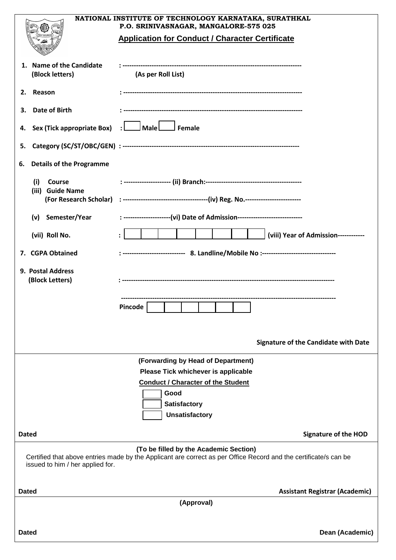|                                                           | NATIONAL INSTITUTE OF TECHNOLOGY KARNATAKA, SURATHKAL                                                                                                      |                                             |
|-----------------------------------------------------------|------------------------------------------------------------------------------------------------------------------------------------------------------------|---------------------------------------------|
|                                                           | P.O. SRINIVASNAGAR, MANGALORE-575 025<br><b>Application for Conduct / Character Certificate</b>                                                            |                                             |
|                                                           |                                                                                                                                                            |                                             |
| 1. Name of the Candidate<br>(Block letters)               | (As per Roll List)                                                                                                                                         |                                             |
| 2. Reason                                                 |                                                                                                                                                            |                                             |
| <b>Date of Birth</b><br>3.                                |                                                                                                                                                            |                                             |
| 4. Sex (Tick appropriate Box) : $\Box$ Male $\Box$ Female |                                                                                                                                                            |                                             |
| 5.                                                        |                                                                                                                                                            |                                             |
| <b>Details of the Programme</b><br>6.                     |                                                                                                                                                            |                                             |
| Course<br>(i)                                             |                                                                                                                                                            |                                             |
| (iii) Guide Name                                          |                                                                                                                                                            |                                             |
| (v) Semester/Year                                         | : ---------------------(vi) Date of Admission----------------------------                                                                                  |                                             |
| (vii) Roll No.                                            |                                                                                                                                                            | (viii) Year of Admission------------        |
| 7. CGPA Obtained                                          | : ------------------------- 8. Landline/Mobile No :------------------------------                                                                          |                                             |
| 9. Postal Address<br>(Block Letters)                      |                                                                                                                                                            |                                             |
|                                                           | <b>Contract Contract</b><br>Pincode                                                                                                                        |                                             |
|                                                           |                                                                                                                                                            | <b>Signature of the Candidate with Date</b> |
|                                                           | (Forwarding by Head of Department)                                                                                                                         |                                             |
|                                                           | Please Tick whichever is applicable<br><b>Conduct / Character of the Student</b>                                                                           |                                             |
|                                                           | Good                                                                                                                                                       |                                             |
|                                                           | Satisfactory                                                                                                                                               |                                             |
|                                                           | <b>Unsatisfactory</b>                                                                                                                                      |                                             |
| <b>Dated</b>                                              |                                                                                                                                                            | <b>Signature of the HOD</b>                 |
| issued to him / her applied for.                          | (To be filled by the Academic Section)<br>Certified that above entries made by the Applicant are correct as per Office Record and the certificate/s can be |                                             |
| <b>Dated</b>                                              |                                                                                                                                                            | <b>Assistant Registrar (Academic)</b>       |
| (Approval)                                                |                                                                                                                                                            |                                             |
| <b>Dated</b>                                              |                                                                                                                                                            | Dean (Academic)                             |
|                                                           |                                                                                                                                                            |                                             |